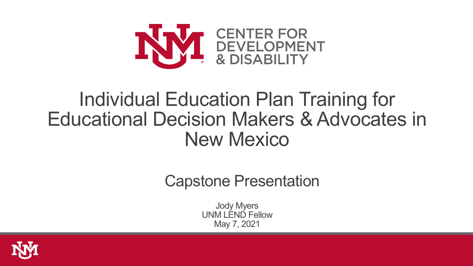

## Individual Education Plan Training for Educational Decision Makers & Advocates in New Mexico

Capstone Presentation

Jody Myers UNM LEND Fellow May 7, 2021

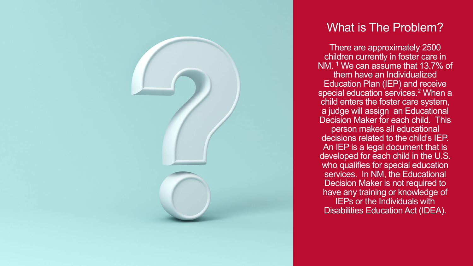

#### What is The Problem?

There are approximately 2500 children currently in foster care in NM. 1 We can assume that 13.7% of them have an Individualized Education Plan (IEP) and receive special education services.<sup>2</sup> When a child enters the foster care system, a judge will assign an Educational Decision Maker for each child. This person makes all educational decisions related to the child's IEP. An IEP is a legal document that is developed for each child in the U.S. who qualifies for special education services. In NM, the Educational Decision Maker is not required to have any training or knowledge of IEPs or the Individuals with Disabilities Education Act (IDEA).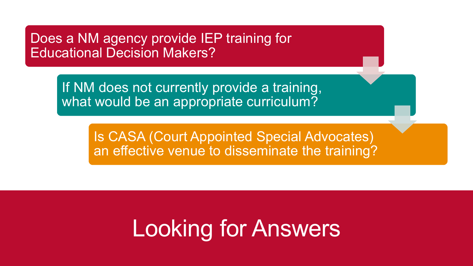Does a NM agency provide IEP training for Educational Decision Makers?

> If NM does not currently provide a training, what would be an appropriate curriculum?

> > Is CASA (Court Appointed Special Advocates) an effective venue to disseminate the training?

# Looking for Answers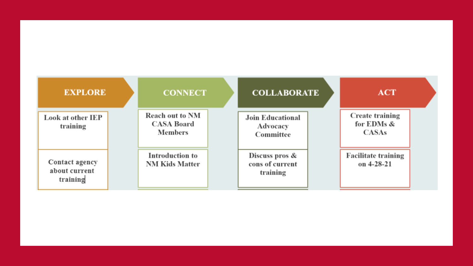| <b>EXPLORE</b>                              | <b>CONNECT</b>                                                | <b>COLLABORATE</b>                               | <b>ACT</b>                                           |  |
|---------------------------------------------|---------------------------------------------------------------|--------------------------------------------------|------------------------------------------------------|--|
| Look at other IEP<br>training               | <b>Reach out to NM</b><br><b>CASA Board</b><br><b>Members</b> | <b>Join Educational</b><br>Advocacy<br>Committee | <b>Create training</b><br>for EDMs &<br><b>CASAs</b> |  |
| Contact agency<br>about current<br>training | <b>Introduction to</b><br><b>NM Kids Matter</b>               | Discuss pros $\&$<br>cons of current<br>training | <b>Facilitate training</b><br>on $4-28-21$           |  |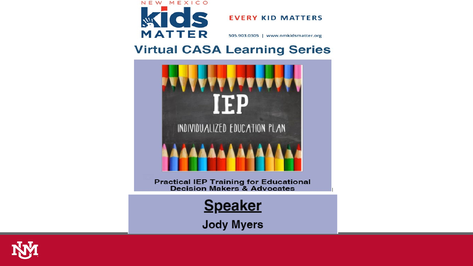

**EVERY KID MATTERS** 

505.903.0305 | www.nmkidsmatter.org

#### **Virtual CASA Learning Series**



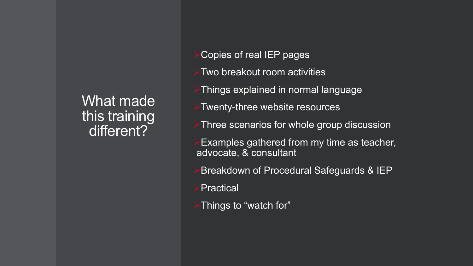What made<sup>1</sup> this training different?

- Copies of real IEP pages
- Two breakout room activities
- Things explained in normal language
- Twenty-three website resources
- Three scenarios for whole group discussion
- Examples gathered from my time as teacher, advocate, & consultant
- Breakdown of Procedural Safeguards & IEP
- Practical
- Things to "watch for"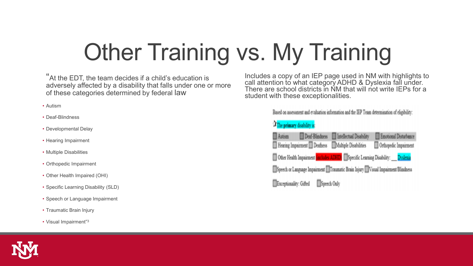# **Other Training vs. My Training**

"At the EDT, the team decides if a child's education is adversely affected by a disability that falls under one or more of these categories determined by federal law

- Autism
- Deaf-Blindness
- Developmental Delay
- Hearing Impairment
- Multiple Disabilities
- Orthopedic Impairment
- Other Health Impaired (OHI)
- Specific Learning Disability (SLD)
- Speech or Language Impairment
- Traumatic Brain Injury
- Visual Impairment"3

Includes a copy of an IEP page used in NM with highlights to call attention to what category ADHD & Dyslexia fall under. There are school districts in NM that will not write IEPs for a student with these exceptionalities.

Based on assessment and evaluation information and the IEP Team determination of eligibility:

#### The primary disability is:

| <b>Autism</b>          | Deaf-Blindness              | Intellectual Disability                                                          | Emotional Disturbance |
|------------------------|-----------------------------|----------------------------------------------------------------------------------|-----------------------|
|                        | Hearing Impairment Deafness | Multiple Disabilities                                                            | Orthopedic Impairment |
|                        |                             | Other Health Impairment (includes ADHD) Specific Learning Disability: Dyslexia   |                       |
|                        |                             | Speech or Language Impairment Traumatic Brain Injury Nisual Impairment/Blindness |                       |
| Exceptionality: Gifted |                             | Speech Only                                                                      |                       |

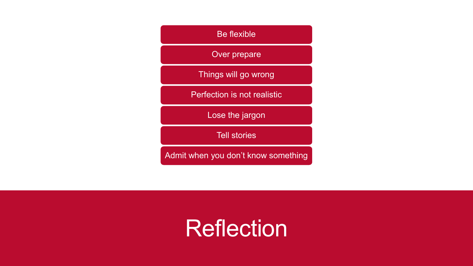#### Be flexible Over prepare Things will go wrong Perfection is not realistic Lose the jargon Tell stories Admit when you don't know something

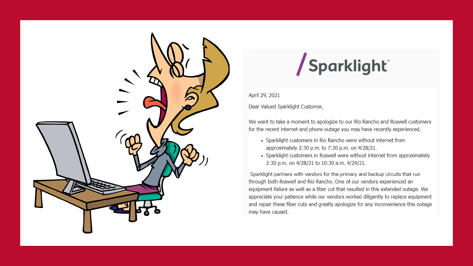

## /Sparklight<sup>®</sup>

April 29, 2021

Dear Valued Sparklight Customer,

We want to take a moment to apologize to our Rio Rancho and Roswell customers for the recent internet and phone outage you may have recently experienced.

- Sparklight customers in Rio Rancho were without internet from approximately 2:30 p.m. to 7:30 p.m. on 4/28/21.
- Sparklight customers in Roswell were without internet from approximately 2:30 p.m. on 4/28/21 to 10:30 a.m. 4/29/21.

Sparklight partners with vendors for the primary and backup circuits that run through both Roswell and Rio Rancho. One of our vendors experienced an equipment failure as well as a fiber cut that resulted in this extended outage. We appreciate your patience while our vendors worked diligently to replace equipment and repair these fiber cuts and greatly apologize for any inconvenience this outage may have caused.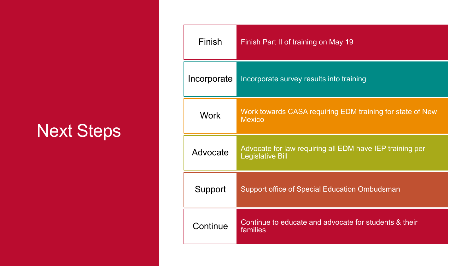## Next Steps

| Finish      | Finish Part II of training on May 19                                                |  |
|-------------|-------------------------------------------------------------------------------------|--|
| Incorporate | Incorporate survey results into training                                            |  |
| <b>Work</b> | Work towards CASA requiring EDM training for state of New<br><b>Mexico</b>          |  |
| Advocate    | Advocate for law requiring all EDM have IEP training per<br><b>Legislative Bill</b> |  |
| Support     | <b>Support office of Special Education Ombudsman</b>                                |  |
| Continue    | Continue to educate and advocate for students & their<br>families                   |  |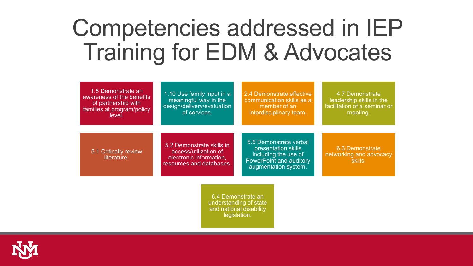## Competencies addressed in IEP Training for EDM & Advocates

| 1.6 Demonstrate an<br>awareness of the benefits<br>of partnership with<br>families at program/policy<br>level. | 1.10 Use family input in a<br>meaningful way in the<br>design/delivery/evaluation<br>of services.         | 2.4 Demonstrate effective<br>communication skills as a<br>member of an<br>interdisciplinary team.                        | 4.7 Demonstrate<br>leadership skills in the<br>facilitation of a seminar or<br>meeting. |
|----------------------------------------------------------------------------------------------------------------|-----------------------------------------------------------------------------------------------------------|--------------------------------------------------------------------------------------------------------------------------|-----------------------------------------------------------------------------------------|
| 5.1 Critically review<br>literature.                                                                           | 5.2 Demonstrate skills in<br>access/utilization of<br>electronic information,<br>resources and databases. | 5.5 Demonstrate verbal<br>presentation skills<br>including the use of<br>PowerPoint and auditory<br>augmentation system. | 6.3 Demonstrate<br>networking and advocacy<br>skills.                                   |
|                                                                                                                | 6.4 Demonstrate an<br>understanding of state<br>and national disability<br>legislation.                   |                                                                                                                          |                                                                                         |